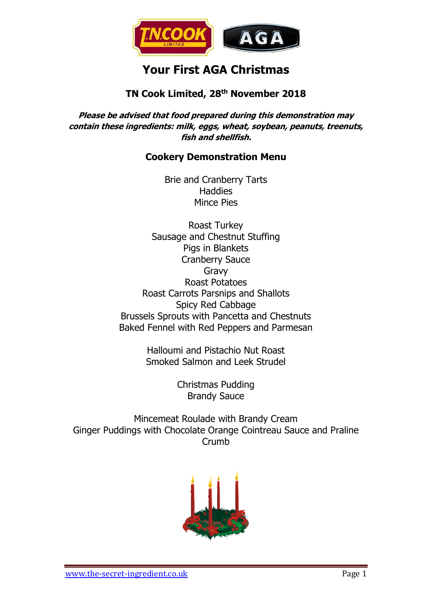

# **Your First AGA Christmas**

# **TN Cook Limited, 28 th November 2018**

**Please be advised that food prepared during this demonstration may contain these ingredients: milk, eggs, wheat, soybean, peanuts, treenuts, fish and shellfish.**

# **Cookery Demonstration Menu**

Brie and Cranberry Tarts **Haddies** Mince Pies

Roast Turkey Sausage and Chestnut Stuffing Pigs in Blankets Cranberry Sauce Gravy Roast Potatoes Roast Carrots Parsnips and Shallots Spicy Red Cabbage Brussels Sprouts with Pancetta and Chestnuts Baked Fennel with Red Peppers and Parmesan

> Halloumi and Pistachio Nut Roast Smoked Salmon and Leek Strudel

> > Christmas Pudding Brandy Sauce

Mincemeat Roulade with Brandy Cream Ginger Puddings with Chocolate Orange Cointreau Sauce and Praline Crumb

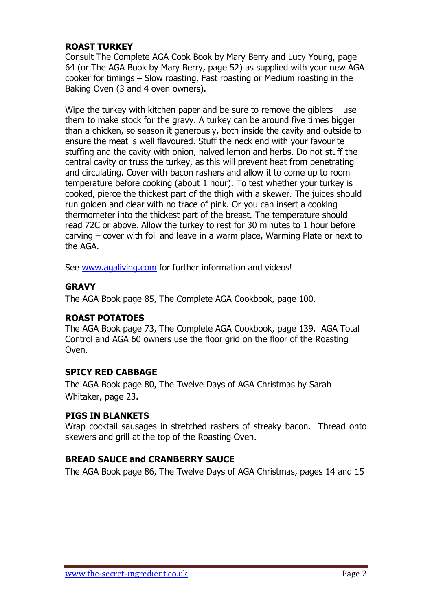# **ROAST TURKEY**

Consult The Complete AGA Cook Book by Mary Berry and Lucy Young, page 64 (or The AGA Book by Mary Berry, page 52) as supplied with your new AGA cooker for timings – Slow roasting, Fast roasting or Medium roasting in the Baking Oven (3 and 4 oven owners).

Wipe the turkey with kitchen paper and be sure to remove the giblets – use them to make stock for the gravy. A turkey can be around five times bigger than a chicken, so season it generously, both inside the cavity and outside to ensure the meat is well flavoured. Stuff the neck end with your favourite stuffing and the cavity with onion, halved lemon and herbs. Do not stuff the central cavity or truss the turkey, as this will prevent heat from penetrating and circulating. Cover with bacon rashers and allow it to come up to room temperature before cooking (about 1 hour). To test whether your turkey is cooked, pierce the thickest part of the thigh with a skewer. The juices should run golden and clear with no trace of pink. Or you can insert a cooking thermometer into the thickest part of the breast. The temperature should read 72C or above. Allow the turkey to rest for 30 minutes to 1 hour before carving – cover with foil and leave in a warm place, Warming Plate or next to the AGA.

See [www.agaliving.com](http://www.agaliving.com/) for further information and videos!

# **GRAVY**

The AGA Book page 85, The Complete AGA Cookbook, page 100.

#### **ROAST POTATOES**

The AGA Book page 73, The Complete AGA Cookbook, page 139. AGA Total Control and AGA 60 owners use the floor grid on the floor of the Roasting Oven.

#### **SPICY RED CABBAGE**

The AGA Book page 80, The Twelve Days of AGA Christmas by Sarah Whitaker, page 23.

#### **PIGS IN BLANKETS**

Wrap cocktail sausages in stretched rashers of streaky bacon. Thread onto skewers and grill at the top of the Roasting Oven.

#### **BREAD SAUCE and CRANBERRY SAUCE**

The AGA Book page 86, The Twelve Days of AGA Christmas, pages 14 and 15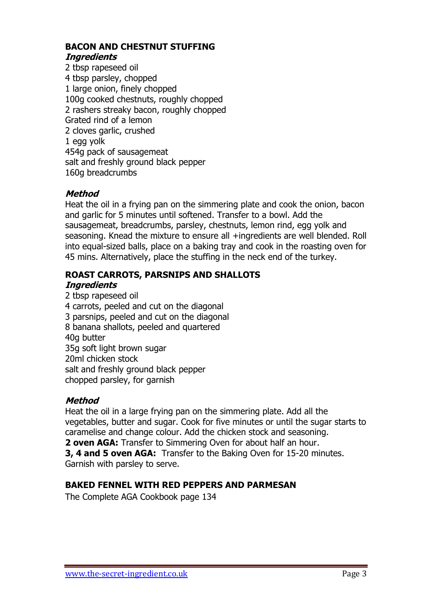#### **BACON AND CHESTNUT STUFFING Ingredients**

2 tbsp rapeseed oil 4 tbsp parsley, chopped 1 large onion, finely chopped 100g cooked chestnuts, roughly chopped 2 rashers streaky bacon, roughly chopped Grated rind of a lemon 2 cloves garlic, crushed 1 egg yolk 454g pack of sausagemeat salt and freshly ground black pepper 160g breadcrumbs

# **Method**

Heat the oil in a frying pan on the simmering plate and cook the onion, bacon and garlic for 5 minutes until softened. Transfer to a bowl. Add the sausagemeat, breadcrumbs, parsley, chestnuts, lemon rind, egg yolk and seasoning. Knead the mixture to ensure all +ingredients are well blended. Roll into equal-sized balls, place on a baking tray and cook in the roasting oven for 45 mins. Alternatively, place the stuffing in the neck end of the turkey.

# **ROAST CARROTS, PARSNIPS AND SHALLOTS**

#### **Ingredients**

2 tbsp rapeseed oil 4 carrots, peeled and cut on the diagonal 3 parsnips, peeled and cut on the diagonal 8 banana shallots, peeled and quartered 40g butter 35g soft light brown sugar 20ml chicken stock salt and freshly ground black pepper chopped parsley, for garnish

# **Method**

Heat the oil in a large frying pan on the simmering plate. Add all the vegetables, butter and sugar. Cook for five minutes or until the sugar starts to caramelise and change colour. Add the chicken stock and seasoning. **2 oven AGA:** Transfer to Simmering Oven for about half an hour.

**3, 4 and 5 oven AGA:** Transfer to the Baking Oven for 15-20 minutes. Garnish with parsley to serve.

# **BAKED FENNEL WITH RED PEPPERS AND PARMESAN**

The Complete AGA Cookbook page 134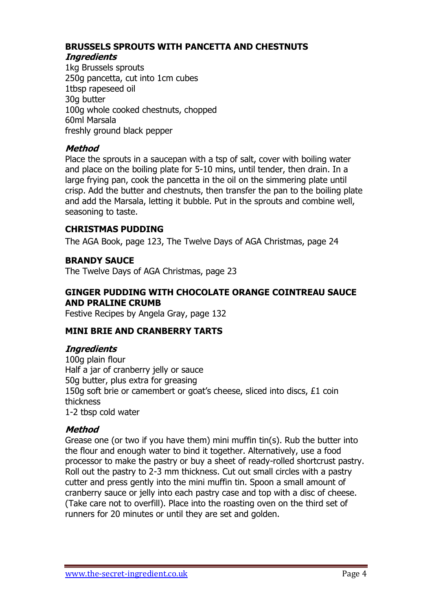# **BRUSSELS SPROUTS WITH PANCETTA AND CHESTNUTS**

# **Ingredients**

1kg Brussels sprouts 250g pancetta, cut into 1cm cubes 1tbsp rapeseed oil 30g butter 100g whole cooked chestnuts, chopped 60ml Marsala freshly ground black pepper

# **Method**

Place the sprouts in a saucepan with a tsp of salt, cover with boiling water and place on the boiling plate for 5-10 mins, until tender, then drain. In a large frying pan, cook the pancetta in the oil on the simmering plate until crisp. Add the butter and chestnuts, then transfer the pan to the boiling plate and add the Marsala, letting it bubble. Put in the sprouts and combine well, seasoning to taste.

# **CHRISTMAS PUDDING**

The AGA Book, page 123, The Twelve Days of AGA Christmas, page 24

# **BRANDY SAUCE**

The Twelve Days of AGA Christmas, page 23

## **GINGER PUDDING WITH CHOCOLATE ORANGE COINTREAU SAUCE AND PRALINE CRUMB**

Festive Recipes by Angela Gray, page 132

#### **MINI BRIE AND CRANBERRY TARTS**

#### **Ingredients**

100g plain flour Half a jar of cranberry jelly or sauce 50g butter, plus extra for greasing 150g soft brie or camembert or goat's cheese, sliced into discs, £1 coin thickness 1-2 tbsp cold water

#### **Method**

Grease one (or two if you have them) mini muffin tin(s). Rub the butter into the flour and enough water to bind it together. Alternatively, use a food processor to make the pastry or buy a sheet of ready-rolled shortcrust pastry. Roll out the pastry to 2-3 mm thickness. Cut out small circles with a pastry cutter and press gently into the mini muffin tin. Spoon a small amount of cranberry sauce or jelly into each pastry case and top with a disc of cheese. (Take care not to overfill). Place into the roasting oven on the third set of runners for 20 minutes or until they are set and golden.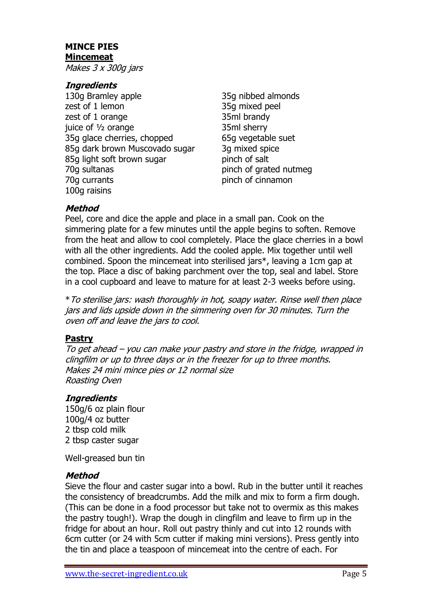# **MINCE PIES Mincemeat**

Makes 3 x 300g jars

# **Ingredients**

- 130g Bramley apple 35g nibbed almonds zest of 1 lemon 35g mixed peel zest of 1 orange 35ml brandy juice of <sup>1</sup>/<sub>2</sub> orange 35ml sherry 35g glace cherries, chopped 65g vegetable suet 85g dark brown Muscovado sugar 3g mixed spice 85g light soft brown sugar pinch of salt 70g sultanas pinch of grated nutmeg 70g currants pinch of cinnamon 100g raisins
- 

# **Method**

Peel, core and dice the apple and place in a small pan. Cook on the simmering plate for a few minutes until the apple begins to soften. Remove from the heat and allow to cool completely. Place the glace cherries in a bowl with all the other ingredients. Add the cooled apple. Mix together until well combined. Spoon the mincemeat into sterilised jars\*, leaving a 1cm gap at the top. Place a disc of baking parchment over the top, seal and label. Store in a cool cupboard and leave to mature for at least 2-3 weeks before using.

\*To sterilise jars: wash thoroughly in hot, soapy water. Rinse well then place jars and lids upside down in the simmering oven for 30 minutes. Turn the oven off and leave the jars to cool.

#### **Pastry**

To get ahead – you can make your pastry and store in the fridge, wrapped in clingfilm or up to three days or in the freezer for up to three months. Makes 24 mini mince pies or 12 normal size Roasting Oven

#### **Ingredients**

150g/6 oz plain flour 100g/4 oz butter 2 tbsp cold milk 2 tbsp caster sugar

Well-greased bun tin

#### **Method**

Sieve the flour and caster sugar into a bowl. Rub in the butter until it reaches the consistency of breadcrumbs. Add the milk and mix to form a firm dough. (This can be done in a food processor but take not to overmix as this makes the pastry tough!). Wrap the dough in clingfilm and leave to firm up in the fridge for about an hour. Roll out pastry thinly and cut into 12 rounds with 6cm cutter (or 24 with 5cm cutter if making mini versions). Press gently into the tin and place a teaspoon of mincemeat into the centre of each. For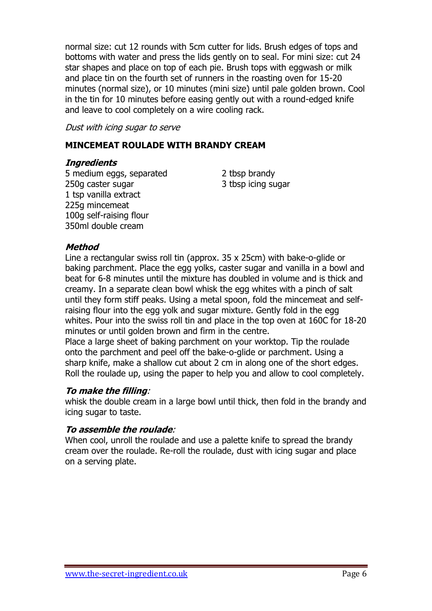normal size: cut 12 rounds with 5cm cutter for lids. Brush edges of tops and bottoms with water and press the lids gently on to seal. For mini size: cut 24 star shapes and place on top of each pie. Brush tops with eggwash or milk and place tin on the fourth set of runners in the roasting oven for 15-20 minutes (normal size), or 10 minutes (mini size) until pale golden brown. Cool in the tin for 10 minutes before easing gently out with a round-edged knife and leave to cool completely on a wire cooling rack.

Dust with icing sugar to serve

# **MINCEMEAT ROULADE WITH BRANDY CREAM**

#### **Ingredients**

5 medium eggs, separated 2 tbsp brandy 250g caster sugar 3 tbsp icing sugar 1 tsp vanilla extract 225g mincemeat 100g self-raising flour 350ml double cream

#### **Method**

Line a rectangular swiss roll tin (approx. 35 x 25cm) with bake-o-glide or baking parchment. Place the egg yolks, caster sugar and vanilla in a bowl and beat for 6-8 minutes until the mixture has doubled in volume and is thick and creamy. In a separate clean bowl whisk the egg whites with a pinch of salt until they form stiff peaks. Using a metal spoon, fold the mincemeat and selfraising flour into the egg yolk and sugar mixture. Gently fold in the egg whites. Pour into the swiss roll tin and place in the top oven at 160C for 18-20 minutes or until golden brown and firm in the centre.

Place a large sheet of baking parchment on your worktop. Tip the roulade onto the parchment and peel off the bake-o-glide or parchment. Using a sharp knife, make a shallow cut about 2 cm in along one of the short edges. Roll the roulade up, using the paper to help you and allow to cool completely.

#### **To make the filling**:

whisk the double cream in a large bowl until thick, then fold in the brandy and icing sugar to taste.

#### **To assemble the roulade**:

When cool, unroll the roulade and use a palette knife to spread the brandy cream over the roulade. Re-roll the roulade, dust with icing sugar and place on a serving plate.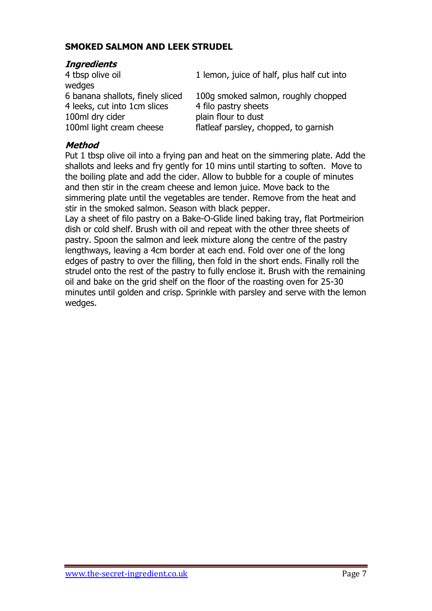# **SMOKED SALMON AND LEEK STRUDEL**

## **Ingredients**

4 tbsp olive oil 1 lemon, juice of half, plus half cut into wedges 6 banana shallots, finely sliced 100g smoked salmon, roughly chopped 4 leeks, cut into 1cm slices 4 filo pastry sheets 100ml dry cider plain flour to dust 100ml light cream cheese flatleaf parsley, chopped, to garnish

## **Method**

Put 1 tbsp olive oil into a frying pan and heat on the simmering plate. Add the shallots and leeks and fry gently for 10 mins until starting to soften. Move to the boiling plate and add the cider. Allow to bubble for a couple of minutes and then stir in the cream cheese and lemon juice. Move back to the simmering plate until the vegetables are tender. Remove from the heat and stir in the smoked salmon. Season with black pepper.

Lay a sheet of filo pastry on a Bake-O-Glide lined baking tray, flat Portmeirion dish or cold shelf. Brush with oil and repeat with the other three sheets of pastry. Spoon the salmon and leek mixture along the centre of the pastry lengthways, leaving a 4cm border at each end. Fold over one of the long edges of pastry to over the filling, then fold in the short ends. Finally roll the strudel onto the rest of the pastry to fully enclose it. Brush with the remaining oil and bake on the grid shelf on the floor of the roasting oven for 25-30 minutes until golden and crisp. Sprinkle with parsley and serve with the lemon wedges.